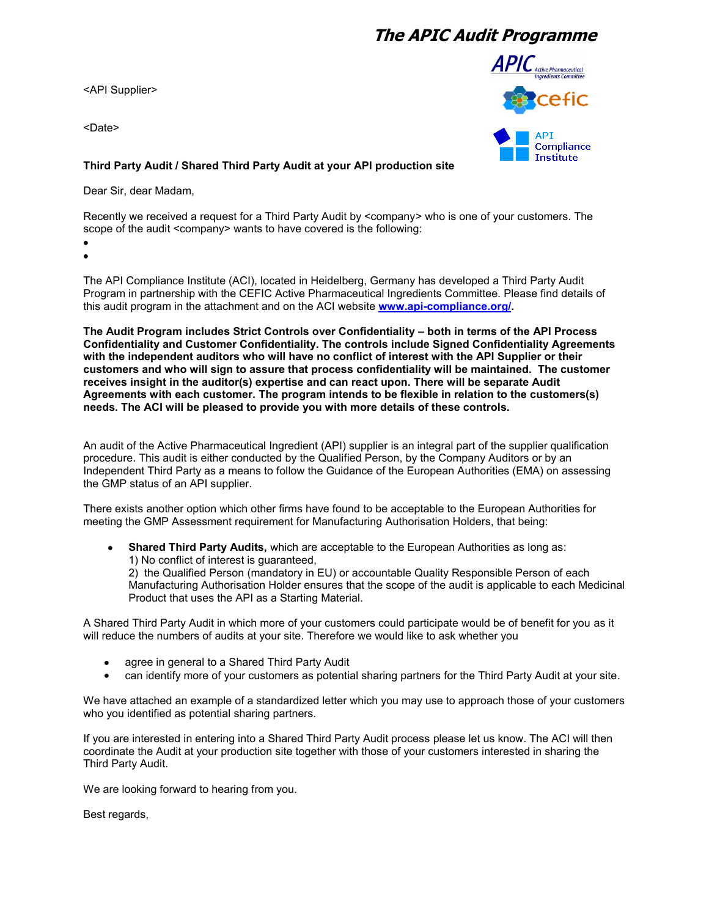## **The APIC Audit Programme**

<API Supplier>

<Date>



## **Third Party Audit / Shared Third Party Audit at your API production site**

Dear Sir, dear Madam,

Recently we received a request for a Third Party Audit by <company> who is one of your customers. The scope of the audit <company> wants to have covered is the following:

The API Compliance Institute (ACI), located in Heidelberg, Germany has developed a Third Party Audit Program in partnership with the CEFIC Active Pharmaceutical Ingredients Committee. Please find details of this audit program in the attachment and on the ACI website **[www.api-compliance.org/.](http://www.api-compliance.org/)**

**The Audit Program includes Strict Controls over Confidentiality – both in terms of the API Process Confidentiality and Customer Confidentiality. The controls include Signed Confidentiality Agreements with the independent auditors who will have no conflict of interest with the API Supplier or their customers and who will sign to assure that process confidentiality will be maintained. The customer receives insight in the auditor(s) expertise and can react upon. There will be separate Audit Agreements with each customer. The program intends to be flexible in relation to the customers(s) needs. The ACI will be pleased to provide you with more details of these controls.** 

An audit of the Active Pharmaceutical Ingredient (API) supplier is an integral part of the supplier qualification procedure. This audit is either conducted by the Qualified Person, by the Company Auditors or by an Independent Third Party as a means to follow the Guidance of the European Authorities (EMA) on assessing the GMP status of an API supplier.

There exists another option which other firms have found to be acceptable to the European Authorities for meeting the GMP Assessment requirement for Manufacturing Authorisation Holders, that being:

**Shared Third Party Audits,** which are acceptable to the European Authorities as long as:  $\bullet$ 1) No conflict of interest is guaranteed,

2) the Qualified Person (mandatory in EU) or accountable Quality Responsible Person of each Manufacturing Authorisation Holder ensures that the scope of the audit is applicable to each Medicinal Product that uses the API as a Starting Material.

A Shared Third Party Audit in which more of your customers could participate would be of benefit for you as it will reduce the numbers of audits at your site. Therefore we would like to ask whether you

- agree in general to a Shared Third Party Audit  $\bullet$
- can identify more of your customers as potential sharing partners for the Third Party Audit at your site.

We have attached an example of a standardized letter which you may use to approach those of your customers who you identified as potential sharing partners.

If you are interested in entering into a Shared Third Party Audit process please let us know. The ACI will then coordinate the Audit at your production site together with those of your customers interested in sharing the Third Party Audit.

We are looking forward to hearing from you.

Best regards,